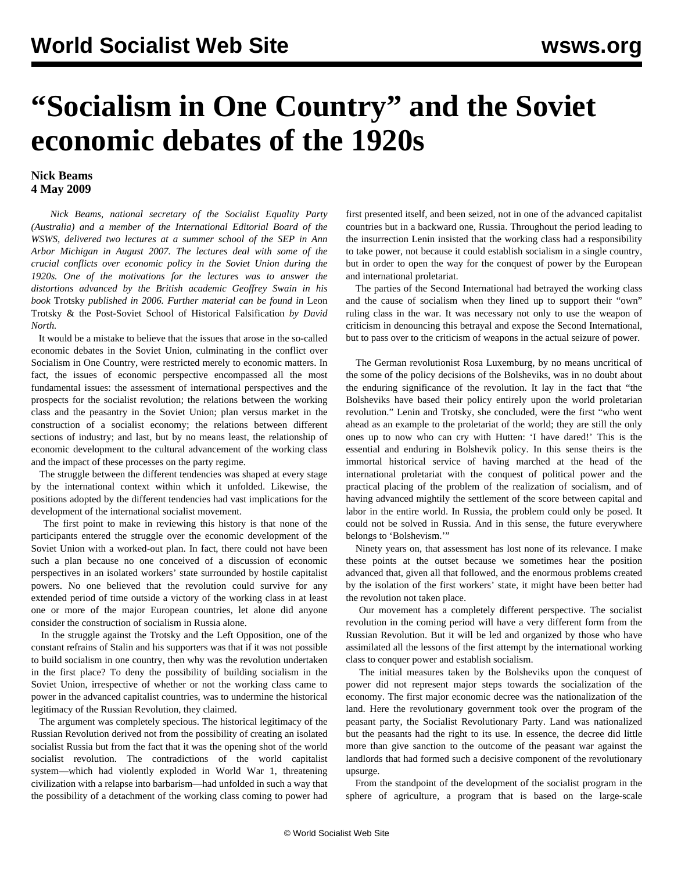## **"Socialism in One Country" and the Soviet economic debates of the 1920s**

## **Nick Beams 4 May 2009**

 *Nick Beams, national secretary of the Socialist Equality Party (Australia) and a member of the International Editorial Board of the WSWS, delivered two lectures at a summer school of the SEP in Ann Arbor Michigan in August 2007. The lectures deal with some of the crucial conflicts over economic policy in the Soviet Union during the 1920s. One of the motivations for the lectures was to answer the distortions advanced by the British academic Geoffrey Swain in his book* Trotsky *published in 2006. Further material can be found in* [Leon](/en/articles/2007/may2007/lec1-m09.shtml) [Trotsky & the Post-Soviet School of Historical Falsification](/en/articles/2007/may2007/lec1-m09.shtml) *by David North.*

 It would be a mistake to believe that the issues that arose in the so-called economic debates in the Soviet Union, culminating in the conflict over Socialism in One Country, were restricted merely to economic matters. In fact, the issues of economic perspective encompassed all the most fundamental issues: the assessment of international perspectives and the prospects for the socialist revolution; the relations between the working class and the peasantry in the Soviet Union; plan versus market in the construction of a socialist economy; the relations between different sections of industry; and last, but by no means least, the relationship of economic development to the cultural advancement of the working class and the impact of these processes on the party regime.

 The struggle between the different tendencies was shaped at every stage by the international context within which it unfolded. Likewise, the positions adopted by the different tendencies had vast implications for the development of the international socialist movement.

 The first point to make in reviewing this history is that none of the participants entered the struggle over the economic development of the Soviet Union with a worked-out plan. In fact, there could not have been such a plan because no one conceived of a discussion of economic perspectives in an isolated workers' state surrounded by hostile capitalist powers. No one believed that the revolution could survive for any extended period of time outside a victory of the working class in at least one or more of the major European countries, let alone did anyone consider the construction of socialism in Russia alone.

 In the struggle against the Trotsky and the Left Opposition, one of the constant refrains of Stalin and his supporters was that if it was not possible to build socialism in one country, then why was the revolution undertaken in the first place? To deny the possibility of building socialism in the Soviet Union, irrespective of whether or not the working class came to power in the advanced capitalist countries, was to undermine the historical legitimacy of the Russian Revolution, they claimed.

 The argument was completely specious. The historical legitimacy of the Russian Revolution derived not from the possibility of creating an isolated socialist Russia but from the fact that it was the opening shot of the world socialist revolution. The contradictions of the world capitalist system—which had violently exploded in World War 1, threatening civilization with a relapse into barbarism—had unfolded in such a way that the possibility of a detachment of the working class coming to power had first presented itself, and been seized, not in one of the advanced capitalist countries but in a backward one, Russia. Throughout the period leading to the insurrection Lenin insisted that the working class had a responsibility to take power, not because it could establish socialism in a single country, but in order to open the way for the conquest of power by the European and international proletariat.

 The parties of the Second International had betrayed the working class and the cause of socialism when they lined up to support their "own" ruling class in the war. It was necessary not only to use the weapon of criticism in denouncing this betrayal and expose the Second International, but to pass over to the criticism of weapons in the actual seizure of power.

 The German revolutionist Rosa Luxemburg, by no means uncritical of the some of the policy decisions of the Bolsheviks, was in no doubt about the enduring significance of the revolution. It lay in the fact that "the Bolsheviks have based their policy entirely upon the world proletarian revolution." Lenin and Trotsky, she concluded, were the first "who went ahead as an example to the proletariat of the world; they are still the only ones up to now who can cry with Hutten: 'I have dared!' This is the essential and enduring in Bolshevik policy. In this sense theirs is the immortal historical service of having marched at the head of the international proletariat with the conquest of political power and the practical placing of the problem of the realization of socialism, and of having advanced mightily the settlement of the score between capital and labor in the entire world. In Russia, the problem could only be posed. It could not be solved in Russia. And in this sense, the future everywhere belongs to 'Bolshevism.'"

 Ninety years on, that assessment has lost none of its relevance. I make these points at the outset because we sometimes hear the position advanced that, given all that followed, and the enormous problems created by the isolation of the first workers' state, it might have been better had the revolution not taken place.

 Our movement has a completely different perspective. The socialist revolution in the coming period will have a very different form from the Russian Revolution. But it will be led and organized by those who have assimilated all the lessons of the first attempt by the international working class to conquer power and establish socialism.

 The initial measures taken by the Bolsheviks upon the conquest of power did not represent major steps towards the socialization of the economy. The first major economic decree was the nationalization of the land. Here the revolutionary government took over the program of the peasant party, the Socialist Revolutionary Party. Land was nationalized but the peasants had the right to its use. In essence, the decree did little more than give sanction to the outcome of the peasant war against the landlords that had formed such a decisive component of the revolutionary upsurge.

 From the standpoint of the development of the socialist program in the sphere of agriculture, a program that is based on the large-scale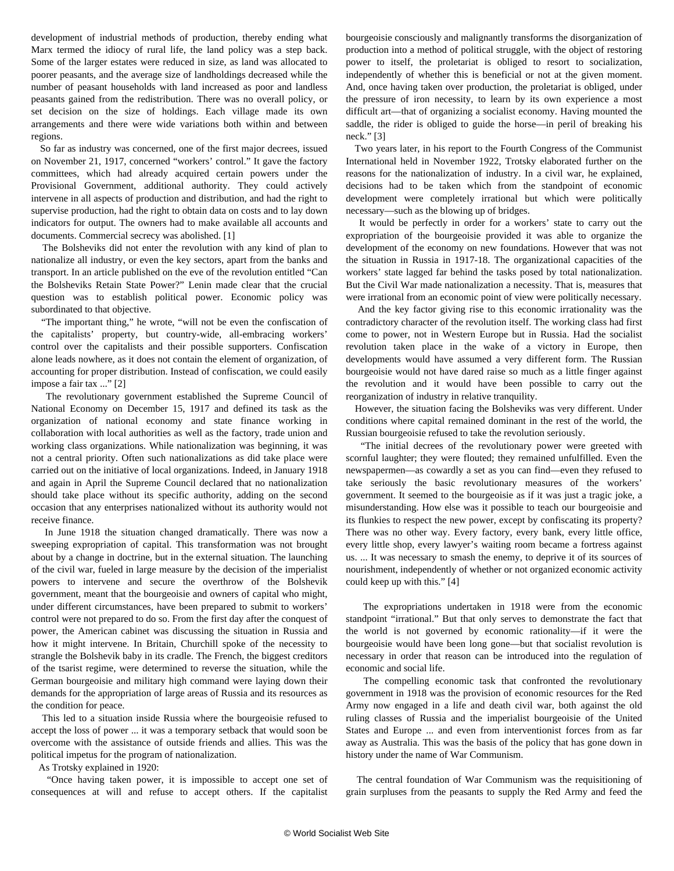development of industrial methods of production, thereby ending what Marx termed the idiocy of rural life, the land policy was a step back. Some of the larger estates were reduced in size, as land was allocated to poorer peasants, and the average size of landholdings decreased while the number of peasant households with land increased as poor and landless peasants gained from the redistribution. There was no overall policy, or set decision on the size of holdings. Each village made its own arrangements and there were wide variations both within and between regions.

 So far as industry was concerned, one of the first major decrees, issued on November 21, 1917, concerned "workers' control." It gave the factory committees, which had already acquired certain powers under the Provisional Government, additional authority. They could actively intervene in all aspects of production and distribution, and had the right to supervise production, had the right to obtain data on costs and to lay down indicators for output. The owners had to make available all accounts and documents. Commercial secrecy was abolished. [1]

 The Bolsheviks did not enter the revolution with any kind of plan to nationalize all industry, or even the key sectors, apart from the banks and transport. In an article published on the eve of the revolution entitled "Can the Bolsheviks Retain State Power?" Lenin made clear that the crucial question was to establish political power. Economic policy was subordinated to that objective.

 "The important thing," he wrote, "will not be even the confiscation of the capitalists' property, but country-wide, all-embracing workers' control over the capitalists and their possible supporters. Confiscation alone leads nowhere, as it does not contain the element of organization, of accounting for proper distribution. Instead of confiscation, we could easily impose a fair tax ..." [2]

 The revolutionary government established the Supreme Council of National Economy on December 15, 1917 and defined its task as the organization of national economy and state finance working in collaboration with local authorities as well as the factory, trade union and working class organizations. While nationalization was beginning, it was not a central priority. Often such nationalizations as did take place were carried out on the initiative of local organizations. Indeed, in January 1918 and again in April the Supreme Council declared that no nationalization should take place without its specific authority, adding on the second occasion that any enterprises nationalized without its authority would not receive finance.

 In June 1918 the situation changed dramatically. There was now a sweeping expropriation of capital. This transformation was not brought about by a change in doctrine, but in the external situation. The launching of the civil war, fueled in large measure by the decision of the imperialist powers to intervene and secure the overthrow of the Bolshevik government, meant that the bourgeoisie and owners of capital who might, under different circumstances, have been prepared to submit to workers' control were not prepared to do so. From the first day after the conquest of power, the American cabinet was discussing the situation in Russia and how it might intervene. In Britain, Churchill spoke of the necessity to strangle the Bolshevik baby in its cradle. The French, the biggest creditors of the tsarist regime, were determined to reverse the situation, while the German bourgeoisie and military high command were laying down their demands for the appropriation of large areas of Russia and its resources as the condition for peace.

 This led to a situation inside Russia where the bourgeoisie refused to accept the loss of power ... it was a temporary setback that would soon be overcome with the assistance of outside friends and allies. This was the political impetus for the program of nationalization.

As Trotsky explained in 1920:

 "Once having taken power, it is impossible to accept one set of consequences at will and refuse to accept others. If the capitalist bourgeoisie consciously and malignantly transforms the disorganization of production into a method of political struggle, with the object of restoring power to itself, the proletariat is obliged to resort to socialization, independently of whether this is beneficial or not at the given moment. And, once having taken over production, the proletariat is obliged, under the pressure of iron necessity, to learn by its own experience a most difficult art—that of organizing a socialist economy. Having mounted the saddle, the rider is obliged to guide the horse—in peril of breaking his neck." [3]

 Two years later, in his report to the Fourth Congress of the Communist International held in November 1922, Trotsky elaborated further on the reasons for the nationalization of industry. In a civil war, he explained, decisions had to be taken which from the standpoint of economic development were completely irrational but which were politically necessary—such as the blowing up of bridges.

 It would be perfectly in order for a workers' state to carry out the expropriation of the bourgeoisie provided it was able to organize the development of the economy on new foundations. However that was not the situation in Russia in 1917-18. The organizational capacities of the workers' state lagged far behind the tasks posed by total nationalization. But the Civil War made nationalization a necessity. That is, measures that were irrational from an economic point of view were politically necessary.

 And the key factor giving rise to this economic irrationality was the contradictory character of the revolution itself. The working class had first come to power, not in Western Europe but in Russia. Had the socialist revolution taken place in the wake of a victory in Europe, then developments would have assumed a very different form. The Russian bourgeoisie would not have dared raise so much as a little finger against the revolution and it would have been possible to carry out the reorganization of industry in relative tranquility.

 However, the situation facing the Bolsheviks was very different. Under conditions where capital remained dominant in the rest of the world, the Russian bourgeoisie refused to take the revolution seriously.

 "The initial decrees of the revolutionary power were greeted with scornful laughter; they were flouted; they remained unfulfilled. Even the newspapermen—as cowardly a set as you can find—even they refused to take seriously the basic revolutionary measures of the workers' government. It seemed to the bourgeoisie as if it was just a tragic joke, a misunderstanding. How else was it possible to teach our bourgeoisie and its flunkies to respect the new power, except by confiscating its property? There was no other way. Every factory, every bank, every little office, every little shop, every lawyer's waiting room became a fortress against us. ... It was necessary to smash the enemy, to deprive it of its sources of nourishment, independently of whether or not organized economic activity could keep up with this." [4]

 The expropriations undertaken in 1918 were from the economic standpoint "irrational." But that only serves to demonstrate the fact that the world is not governed by economic rationality—if it were the bourgeoisie would have been long gone—but that socialist revolution is necessary in order that reason can be introduced into the regulation of economic and social life.

 The compelling economic task that confronted the revolutionary government in 1918 was the provision of economic resources for the Red Army now engaged in a life and death civil war, both against the old ruling classes of Russia and the imperialist bourgeoisie of the United States and Europe ... and even from interventionist forces from as far away as Australia. This was the basis of the policy that has gone down in history under the name of War Communism.

 The central foundation of War Communism was the requisitioning of grain surpluses from the peasants to supply the Red Army and feed the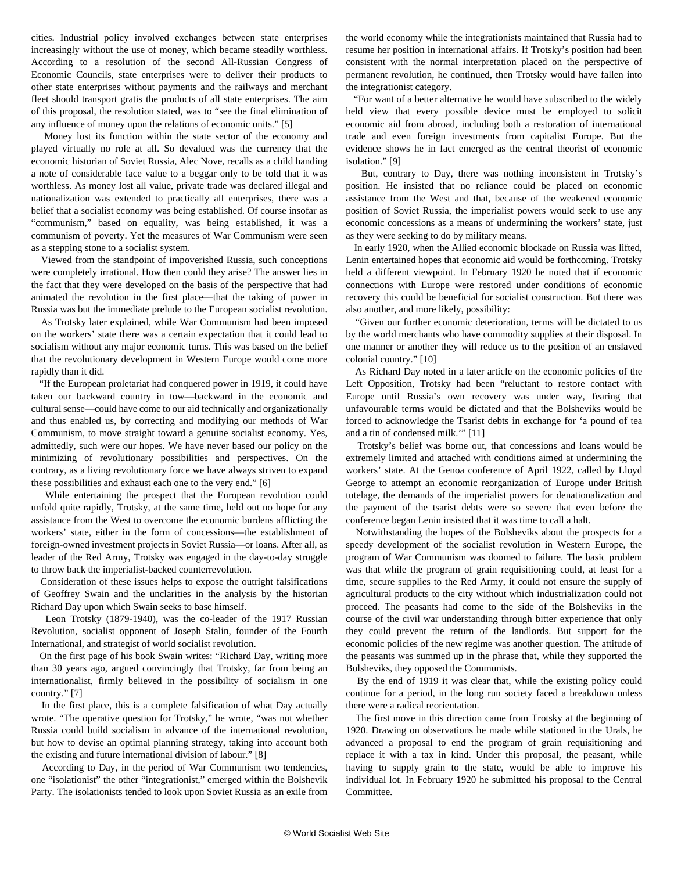cities. Industrial policy involved exchanges between state enterprises increasingly without the use of money, which became steadily worthless. According to a resolution of the second All-Russian Congress of Economic Councils, state enterprises were to deliver their products to other state enterprises without payments and the railways and merchant fleet should transport gratis the products of all state enterprises. The aim of this proposal, the resolution stated, was to "see the final elimination of any influence of money upon the relations of economic units." [5]

 Money lost its function within the state sector of the economy and played virtually no role at all. So devalued was the currency that the economic historian of Soviet Russia, Alec Nove, recalls as a child handing a note of considerable face value to a beggar only to be told that it was worthless. As money lost all value, private trade was declared illegal and nationalization was extended to practically all enterprises, there was a belief that a socialist economy was being established. Of course insofar as "communism," based on equality, was being established, it was a communism of poverty. Yet the measures of War Communism were seen as a stepping stone to a socialist system.

 Viewed from the standpoint of impoverished Russia, such conceptions were completely irrational. How then could they arise? The answer lies in the fact that they were developed on the basis of the perspective that had animated the revolution in the first place—that the taking of power in Russia was but the immediate prelude to the European socialist revolution.

 As Trotsky later explained, while War Communism had been imposed on the workers' state there was a certain expectation that it could lead to socialism without any major economic turns. This was based on the belief that the revolutionary development in Western Europe would come more rapidly than it did.

 "If the European proletariat had conquered power in 1919, it could have taken our backward country in tow—backward in the economic and cultural sense—could have come to our aid technically and organizationally and thus enabled us, by correcting and modifying our methods of War Communism, to move straight toward a genuine socialist economy. Yes, admittedly, such were our hopes. We have never based our policy on the minimizing of revolutionary possibilities and perspectives. On the contrary, as a living revolutionary force we have always striven to expand these possibilities and exhaust each one to the very end." [6]

 While entertaining the prospect that the European revolution could unfold quite rapidly, Trotsky, at the same time, held out no hope for any assistance from the West to overcome the economic burdens afflicting the workers' state, either in the form of concessions—the establishment of foreign-owned investment projects in Soviet Russia—or loans. After all, as leader of the Red Army, Trotsky was engaged in the day-to-day struggle to throw back the imperialist-backed counterrevolution.

 Consideration of these issues helps to expose the outright falsifications of Geoffrey Swain and the unclarities in the analysis by the historian Richard Day upon which Swain seeks to base himself.

 Leon Trotsky (1879-1940), was the co-leader of the 1917 Russian Revolution, socialist opponent of Joseph Stalin, founder of the Fourth International, and strategist of world socialist revolution.

 On the first page of his book Swain writes: "Richard Day, writing more than 30 years ago, argued convincingly that Trotsky, far from being an internationalist, firmly believed in the possibility of socialism in one country." [7]

 In the first place, this is a complete falsification of what Day actually wrote. "The operative question for Trotsky," he wrote, "was not whether Russia could build socialism in advance of the international revolution, but how to devise an optimal planning strategy, taking into account both the existing and future international division of labour." [8]

 According to Day, in the period of War Communism two tendencies, one "isolationist" the other "integrationist," emerged within the Bolshevik Party. The isolationists tended to look upon Soviet Russia as an exile from the world economy while the integrationists maintained that Russia had to resume her position in international affairs. If Trotsky's position had been consistent with the normal interpretation placed on the perspective of permanent revolution, he continued, then Trotsky would have fallen into the integrationist category.

 "For want of a better alternative he would have subscribed to the widely held view that every possible device must be employed to solicit economic aid from abroad, including both a restoration of international trade and even foreign investments from capitalist Europe. But the evidence shows he in fact emerged as the central theorist of economic isolation." [9]

 But, contrary to Day, there was nothing inconsistent in Trotsky's position. He insisted that no reliance could be placed on economic assistance from the West and that, because of the weakened economic position of Soviet Russia, the imperialist powers would seek to use any economic concessions as a means of undermining the workers' state, just as they were seeking to do by military means.

 In early 1920, when the Allied economic blockade on Russia was lifted, Lenin entertained hopes that economic aid would be forthcoming. Trotsky held a different viewpoint. In February 1920 he noted that if economic connections with Europe were restored under conditions of economic recovery this could be beneficial for socialist construction. But there was also another, and more likely, possibility:

 "Given our further economic deterioration, terms will be dictated to us by the world merchants who have commodity supplies at their disposal. In one manner or another they will reduce us to the position of an enslaved colonial country." [10]

 As Richard Day noted in a later article on the economic policies of the Left Opposition, Trotsky had been "reluctant to restore contact with Europe until Russia's own recovery was under way, fearing that unfavourable terms would be dictated and that the Bolsheviks would be forced to acknowledge the Tsarist debts in exchange for 'a pound of tea and a tin of condensed milk.'" [11]

 Trotsky's belief was borne out, that concessions and loans would be extremely limited and attached with conditions aimed at undermining the workers' state. At the Genoa conference of April 1922, called by Lloyd George to attempt an economic reorganization of Europe under British tutelage, the demands of the imperialist powers for denationalization and the payment of the tsarist debts were so severe that even before the conference began Lenin insisted that it was time to call a halt.

 Notwithstanding the hopes of the Bolsheviks about the prospects for a speedy development of the socialist revolution in Western Europe, the program of War Communism was doomed to failure. The basic problem was that while the program of grain requisitioning could, at least for a time, secure supplies to the Red Army, it could not ensure the supply of agricultural products to the city without which industrialization could not proceed. The peasants had come to the side of the Bolsheviks in the course of the civil war understanding through bitter experience that only they could prevent the return of the landlords. But support for the economic policies of the new regime was another question. The attitude of the peasants was summed up in the phrase that, while they supported the Bolsheviks, they opposed the Communists.

 By the end of 1919 it was clear that, while the existing policy could continue for a period, in the long run society faced a breakdown unless there were a radical reorientation.

 The first move in this direction came from Trotsky at the beginning of 1920. Drawing on observations he made while stationed in the Urals, he advanced a proposal to end the program of grain requisitioning and replace it with a tax in kind. Under this proposal, the peasant, while having to supply grain to the state, would be able to improve his individual lot. In February 1920 he submitted his proposal to the Central Committee.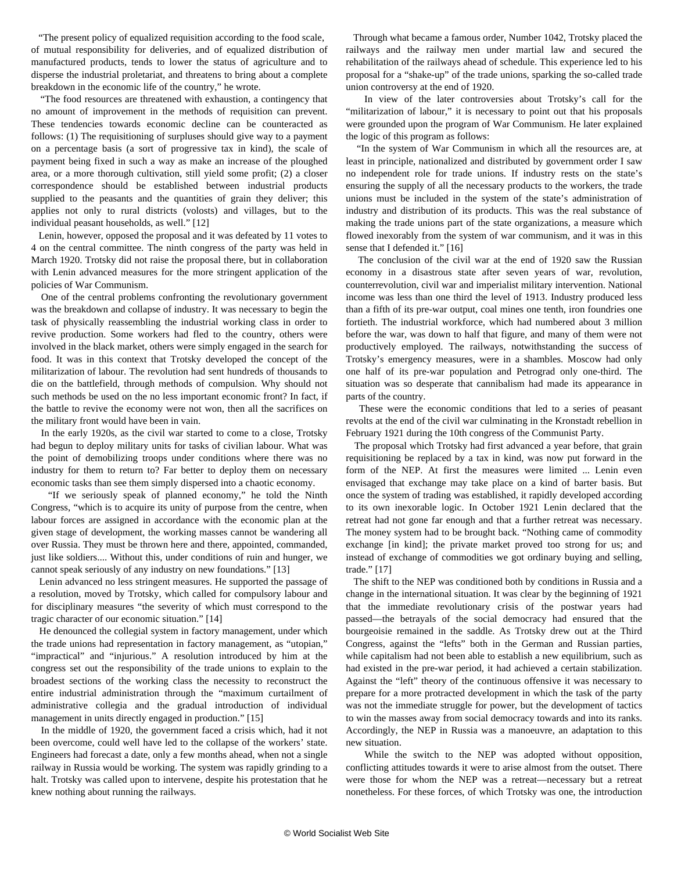"The present policy of equalized requisition according to the food scale, of mutual responsibility for deliveries, and of equalized distribution of manufactured products, tends to lower the status of agriculture and to disperse the industrial proletariat, and threatens to bring about a complete breakdown in the economic life of the country," he wrote.

 "The food resources are threatened with exhaustion, a contingency that no amount of improvement in the methods of requisition can prevent. These tendencies towards economic decline can be counteracted as follows: (1) The requisitioning of surpluses should give way to a payment on a percentage basis (a sort of progressive tax in kind), the scale of payment being fixed in such a way as make an increase of the ploughed area, or a more thorough cultivation, still yield some profit; (2) a closer correspondence should be established between industrial products supplied to the peasants and the quantities of grain they deliver; this applies not only to rural districts (volosts) and villages, but to the individual peasant households, as well." [12]

 Lenin, however, opposed the proposal and it was defeated by 11 votes to 4 on the central committee. The ninth congress of the party was held in March 1920. Trotsky did not raise the proposal there, but in collaboration with Lenin advanced measures for the more stringent application of the policies of War Communism.

 One of the central problems confronting the revolutionary government was the breakdown and collapse of industry. It was necessary to begin the task of physically reassembling the industrial working class in order to revive production. Some workers had fled to the country, others were involved in the black market, others were simply engaged in the search for food. It was in this context that Trotsky developed the concept of the militarization of labour. The revolution had sent hundreds of thousands to die on the battlefield, through methods of compulsion. Why should not such methods be used on the no less important economic front? In fact, if the battle to revive the economy were not won, then all the sacrifices on the military front would have been in vain.

 In the early 1920s, as the civil war started to come to a close, Trotsky had begun to deploy military units for tasks of civilian labour. What was the point of demobilizing troops under conditions where there was no industry for them to return to? Far better to deploy them on necessary economic tasks than see them simply dispersed into a chaotic economy.

 "If we seriously speak of planned economy," he told the Ninth Congress, "which is to acquire its unity of purpose from the centre, when labour forces are assigned in accordance with the economic plan at the given stage of development, the working masses cannot be wandering all over Russia. They must be thrown here and there, appointed, commanded, just like soldiers.... Without this, under conditions of ruin and hunger, we cannot speak seriously of any industry on new foundations." [13]

 Lenin advanced no less stringent measures. He supported the passage of a resolution, moved by Trotsky, which called for compulsory labour and for disciplinary measures "the severity of which must correspond to the tragic character of our economic situation." [14]

 He denounced the collegial system in factory management, under which the trade unions had representation in factory management, as "utopian," "impractical" and "injurious." A resolution introduced by him at the congress set out the responsibility of the trade unions to explain to the broadest sections of the working class the necessity to reconstruct the entire industrial administration through the "maximum curtailment of administrative collegia and the gradual introduction of individual management in units directly engaged in production." [15]

 In the middle of 1920, the government faced a crisis which, had it not been overcome, could well have led to the collapse of the workers' state. Engineers had forecast a date, only a few months ahead, when not a single railway in Russia would be working. The system was rapidly grinding to a halt. Trotsky was called upon to intervene, despite his protestation that he knew nothing about running the railways.

 Through what became a famous order, Number 1042, Trotsky placed the railways and the railway men under martial law and secured the rehabilitation of the railways ahead of schedule. This experience led to his proposal for a "shake-up" of the trade unions, sparking the so-called trade union controversy at the end of 1920.

 In view of the later controversies about Trotsky's call for the "militarization of labour," it is necessary to point out that his proposals were grounded upon the program of War Communism. He later explained the logic of this program as follows:

 "In the system of War Communism in which all the resources are, at least in principle, nationalized and distributed by government order I saw no independent role for trade unions. If industry rests on the state's ensuring the supply of all the necessary products to the workers, the trade unions must be included in the system of the state's administration of industry and distribution of its products. This was the real substance of making the trade unions part of the state organizations, a measure which flowed inexorably from the system of war communism, and it was in this sense that I defended it." [16]

 The conclusion of the civil war at the end of 1920 saw the Russian economy in a disastrous state after seven years of war, revolution, counterrevolution, civil war and imperialist military intervention. National income was less than one third the level of 1913. Industry produced less than a fifth of its pre-war output, coal mines one tenth, iron foundries one fortieth. The industrial workforce, which had numbered about 3 million before the war, was down to half that figure, and many of them were not productively employed. The railways, notwithstanding the success of Trotsky's emergency measures, were in a shambles. Moscow had only one half of its pre-war population and Petrograd only one-third. The situation was so desperate that cannibalism had made its appearance in parts of the country.

 These were the economic conditions that led to a series of peasant revolts at the end of the civil war culminating in the Kronstadt rebellion in February 1921 during the 10th congress of the Communist Party.

 The proposal which Trotsky had first advanced a year before, that grain requisitioning be replaced by a tax in kind, was now put forward in the form of the NEP. At first the measures were limited ... Lenin even envisaged that exchange may take place on a kind of barter basis. But once the system of trading was established, it rapidly developed according to its own inexorable logic. In October 1921 Lenin declared that the retreat had not gone far enough and that a further retreat was necessary. The money system had to be brought back. "Nothing came of commodity exchange [in kind]; the private market proved too strong for us; and instead of exchange of commodities we got ordinary buying and selling, trade." [17]

 The shift to the NEP was conditioned both by conditions in Russia and a change in the international situation. It was clear by the beginning of 1921 that the immediate revolutionary crisis of the postwar years had passed—the betrayals of the social democracy had ensured that the bourgeoisie remained in the saddle. As Trotsky drew out at the Third Congress, against the "lefts" both in the German and Russian parties, while capitalism had not been able to establish a new equilibrium, such as had existed in the pre-war period, it had achieved a certain stabilization. Against the "left" theory of the continuous offensive it was necessary to prepare for a more protracted development in which the task of the party was not the immediate struggle for power, but the development of tactics to win the masses away from social democracy towards and into its ranks. Accordingly, the NEP in Russia was a manoeuvre, an adaptation to this new situation.

 While the switch to the NEP was adopted without opposition, conflicting attitudes towards it were to arise almost from the outset. There were those for whom the NEP was a retreat—necessary but a retreat nonetheless. For these forces, of which Trotsky was one, the introduction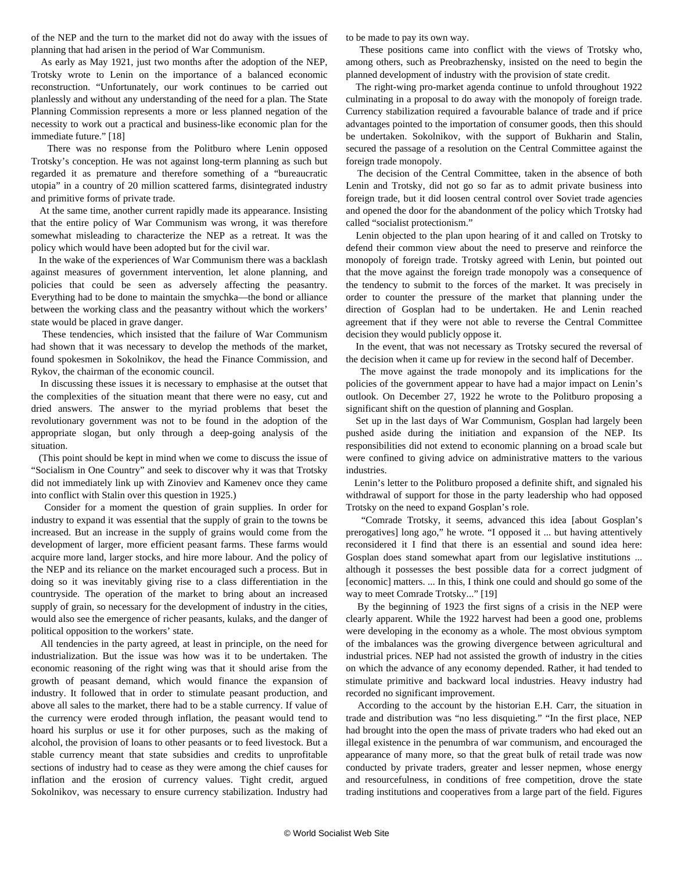of the NEP and the turn to the market did not do away with the issues of planning that had arisen in the period of War Communism.

 As early as May 1921, just two months after the adoption of the NEP, Trotsky wrote to Lenin on the importance of a balanced economic reconstruction. "Unfortunately, our work continues to be carried out planlessly and without any understanding of the need for a plan. The State Planning Commission represents a more or less planned negation of the necessity to work out a practical and business-like economic plan for the immediate future." [18]

 There was no response from the Politburo where Lenin opposed Trotsky's conception. He was not against long-term planning as such but regarded it as premature and therefore something of a "bureaucratic utopia" in a country of 20 million scattered farms, disintegrated industry and primitive forms of private trade.

 At the same time, another current rapidly made its appearance. Insisting that the entire policy of War Communism was wrong, it was therefore somewhat misleading to characterize the NEP as a retreat. It was the policy which would have been adopted but for the civil war.

 In the wake of the experiences of War Communism there was a backlash against measures of government intervention, let alone planning, and policies that could be seen as adversely affecting the peasantry. Everything had to be done to maintain the smychka—the bond or alliance between the working class and the peasantry without which the workers' state would be placed in grave danger.

 These tendencies, which insisted that the failure of War Communism had shown that it was necessary to develop the methods of the market, found spokesmen in Sokolnikov, the head the Finance Commission, and Rykov, the chairman of the economic council.

 In discussing these issues it is necessary to emphasise at the outset that the complexities of the situation meant that there were no easy, cut and dried answers. The answer to the myriad problems that beset the revolutionary government was not to be found in the adoption of the appropriate slogan, but only through a deep-going analysis of the situation.

 (This point should be kept in mind when we come to discuss the issue of "Socialism in One Country" and seek to discover why it was that Trotsky did not immediately link up with Zinoviev and Kamenev once they came into conflict with Stalin over this question in 1925.)

 Consider for a moment the question of grain supplies. In order for industry to expand it was essential that the supply of grain to the towns be increased. But an increase in the supply of grains would come from the development of larger, more efficient peasant farms. These farms would acquire more land, larger stocks, and hire more labour. And the policy of the NEP and its reliance on the market encouraged such a process. But in doing so it was inevitably giving rise to a class differentiation in the countryside. The operation of the market to bring about an increased supply of grain, so necessary for the development of industry in the cities, would also see the emergence of richer peasants, kulaks, and the danger of political opposition to the workers' state.

 All tendencies in the party agreed, at least in principle, on the need for industrialization. But the issue was how was it to be undertaken. The economic reasoning of the right wing was that it should arise from the growth of peasant demand, which would finance the expansion of industry. It followed that in order to stimulate peasant production, and above all sales to the market, there had to be a stable currency. If value of the currency were eroded through inflation, the peasant would tend to hoard his surplus or use it for other purposes, such as the making of alcohol, the provision of loans to other peasants or to feed livestock. But a stable currency meant that state subsidies and credits to unprofitable sections of industry had to cease as they were among the chief causes for inflation and the erosion of currency values. Tight credit, argued Sokolnikov, was necessary to ensure currency stabilization. Industry had

to be made to pay its own way.

 These positions came into conflict with the views of Trotsky who, among others, such as Preobrazhensky, insisted on the need to begin the planned development of industry with the provision of state credit.

 The right-wing pro-market agenda continue to unfold throughout 1922 culminating in a proposal to do away with the monopoly of foreign trade. Currency stabilization required a favourable balance of trade and if price advantages pointed to the importation of consumer goods, then this should be undertaken. Sokolnikov, with the support of Bukharin and Stalin, secured the passage of a resolution on the Central Committee against the foreign trade monopoly.

 The decision of the Central Committee, taken in the absence of both Lenin and Trotsky, did not go so far as to admit private business into foreign trade, but it did loosen central control over Soviet trade agencies and opened the door for the abandonment of the policy which Trotsky had called "socialist protectionism."

 Lenin objected to the plan upon hearing of it and called on Trotsky to defend their common view about the need to preserve and reinforce the monopoly of foreign trade. Trotsky agreed with Lenin, but pointed out that the move against the foreign trade monopoly was a consequence of the tendency to submit to the forces of the market. It was precisely in order to counter the pressure of the market that planning under the direction of Gosplan had to be undertaken. He and Lenin reached agreement that if they were not able to reverse the Central Committee decision they would publicly oppose it.

 In the event, that was not necessary as Trotsky secured the reversal of the decision when it came up for review in the second half of December.

 The move against the trade monopoly and its implications for the policies of the government appear to have had a major impact on Lenin's outlook. On December 27, 1922 he wrote to the Politburo proposing a significant shift on the question of planning and Gosplan.

 Set up in the last days of War Communism, Gosplan had largely been pushed aside during the initiation and expansion of the NEP. Its responsibilities did not extend to economic planning on a broad scale but were confined to giving advice on administrative matters to the various industries.

 Lenin's letter to the Politburo proposed a definite shift, and signaled his withdrawal of support for those in the party leadership who had opposed Trotsky on the need to expand Gosplan's role.

 "Comrade Trotsky, it seems, advanced this idea [about Gosplan's prerogatives] long ago," he wrote. "I opposed it ... but having attentively reconsidered it I find that there is an essential and sound idea here: Gosplan does stand somewhat apart from our legislative institutions ... although it possesses the best possible data for a correct judgment of [economic] matters. ... In this, I think one could and should go some of the way to meet Comrade Trotsky..." [19]

 By the beginning of 1923 the first signs of a crisis in the NEP were clearly apparent. While the 1922 harvest had been a good one, problems were developing in the economy as a whole. The most obvious symptom of the imbalances was the growing divergence between agricultural and industrial prices. NEP had not assisted the growth of industry in the cities on which the advance of any economy depended. Rather, it had tended to stimulate primitive and backward local industries. Heavy industry had recorded no significant improvement.

 According to the account by the historian E.H. Carr, the situation in trade and distribution was "no less disquieting." "In the first place, NEP had brought into the open the mass of private traders who had eked out an illegal existence in the penumbra of war communism, and encouraged the appearance of many more, so that the great bulk of retail trade was now conducted by private traders, greater and lesser nepmen, whose energy and resourcefulness, in conditions of free competition, drove the state trading institutions and cooperatives from a large part of the field. Figures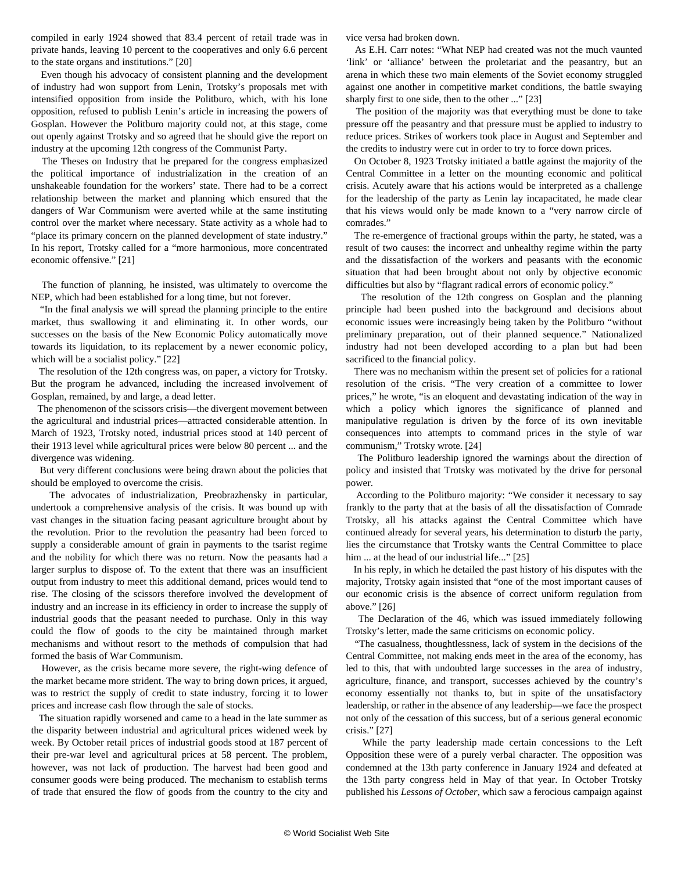compiled in early 1924 showed that 83.4 percent of retail trade was in private hands, leaving 10 percent to the cooperatives and only 6.6 percent to the state organs and institutions." [20]

 Even though his advocacy of consistent planning and the development of industry had won support from Lenin, Trotsky's proposals met with intensified opposition from inside the Politburo, which, with his lone opposition, refused to publish Lenin's article in increasing the powers of Gosplan. However the Politburo majority could not, at this stage, come out openly against Trotsky and so agreed that he should give the report on industry at the upcoming 12th congress of the Communist Party.

 The Theses on Industry that he prepared for the congress emphasized the political importance of industrialization in the creation of an unshakeable foundation for the workers' state. There had to be a correct relationship between the market and planning which ensured that the dangers of War Communism were averted while at the same instituting control over the market where necessary. State activity as a whole had to "place its primary concern on the planned development of state industry." In his report, Trotsky called for a "more harmonious, more concentrated economic offensive." [21]

 The function of planning, he insisted, was ultimately to overcome the NEP, which had been established for a long time, but not forever.

 "In the final analysis we will spread the planning principle to the entire market, thus swallowing it and eliminating it. In other words, our successes on the basis of the New Economic Policy automatically move towards its liquidation, to its replacement by a newer economic policy, which will be a socialist policy." [22]

 The resolution of the 12th congress was, on paper, a victory for Trotsky. But the program he advanced, including the increased involvement of Gosplan, remained, by and large, a dead letter.

 The phenomenon of the scissors crisis—the divergent movement between the agricultural and industrial prices—attracted considerable attention. In March of 1923, Trotsky noted, industrial prices stood at 140 percent of their 1913 level while agricultural prices were below 80 percent ... and the divergence was widening.

 But very different conclusions were being drawn about the policies that should be employed to overcome the crisis.

 The advocates of industrialization, Preobrazhensky in particular, undertook a comprehensive analysis of the crisis. It was bound up with vast changes in the situation facing peasant agriculture brought about by the revolution. Prior to the revolution the peasantry had been forced to supply a considerable amount of grain in payments to the tsarist regime and the nobility for which there was no return. Now the peasants had a larger surplus to dispose of. To the extent that there was an insufficient output from industry to meet this additional demand, prices would tend to rise. The closing of the scissors therefore involved the development of industry and an increase in its efficiency in order to increase the supply of industrial goods that the peasant needed to purchase. Only in this way could the flow of goods to the city be maintained through market mechanisms and without resort to the methods of compulsion that had formed the basis of War Communism.

 However, as the crisis became more severe, the right-wing defence of the market became more strident. The way to bring down prices, it argued, was to restrict the supply of credit to state industry, forcing it to lower prices and increase cash flow through the sale of stocks.

 The situation rapidly worsened and came to a head in the late summer as the disparity between industrial and agricultural prices widened week by week. By October retail prices of industrial goods stood at 187 percent of their pre-war level and agricultural prices at 58 percent. The problem, however, was not lack of production. The harvest had been good and consumer goods were being produced. The mechanism to establish terms of trade that ensured the flow of goods from the country to the city and vice versa had broken down.

 As E.H. Carr notes: "What NEP had created was not the much vaunted 'link' or 'alliance' between the proletariat and the peasantry, but an arena in which these two main elements of the Soviet economy struggled against one another in competitive market conditions, the battle swaying sharply first to one side, then to the other ..." [23]

 The position of the majority was that everything must be done to take pressure off the peasantry and that pressure must be applied to industry to reduce prices. Strikes of workers took place in August and September and the credits to industry were cut in order to try to force down prices.

 On October 8, 1923 Trotsky initiated a battle against the majority of the Central Committee in a letter on the mounting economic and political crisis. Acutely aware that his actions would be interpreted as a challenge for the leadership of the party as Lenin lay incapacitated, he made clear that his views would only be made known to a "very narrow circle of comrades."

 The re-emergence of fractional groups within the party, he stated, was a result of two causes: the incorrect and unhealthy regime within the party and the dissatisfaction of the workers and peasants with the economic situation that had been brought about not only by objective economic difficulties but also by "flagrant radical errors of economic policy."

 The resolution of the 12th congress on Gosplan and the planning principle had been pushed into the background and decisions about economic issues were increasingly being taken by the Politburo "without preliminary preparation, out of their planned sequence." Nationalized industry had not been developed according to a plan but had been sacrificed to the financial policy.

 There was no mechanism within the present set of policies for a rational resolution of the crisis. "The very creation of a committee to lower prices," he wrote, "is an eloquent and devastating indication of the way in which a policy which ignores the significance of planned and manipulative regulation is driven by the force of its own inevitable consequences into attempts to command prices in the style of war communism," Trotsky wrote. [24]

 The Politburo leadership ignored the warnings about the direction of policy and insisted that Trotsky was motivated by the drive for personal power.

 According to the Politburo majority: "We consider it necessary to say frankly to the party that at the basis of all the dissatisfaction of Comrade Trotsky, all his attacks against the Central Committee which have continued already for several years, his determination to disturb the party, lies the circumstance that Trotsky wants the Central Committee to place him ... at the head of our industrial life..." [25]

 In his reply, in which he detailed the past history of his disputes with the majority, Trotsky again insisted that "one of the most important causes of our economic crisis is the absence of correct uniform regulation from above." [26]

 The Declaration of the 46, which was issued immediately following Trotsky's letter, made the same criticisms on economic policy.

 "The casualness, thoughtlessness, lack of system in the decisions of the Central Committee, not making ends meet in the area of the economy, has led to this, that with undoubted large successes in the area of industry, agriculture, finance, and transport, successes achieved by the country's economy essentially not thanks to, but in spite of the unsatisfactory leadership, or rather in the absence of any leadership—we face the prospect not only of the cessation of this success, but of a serious general economic crisis." [27]

 While the party leadership made certain concessions to the Left Opposition these were of a purely verbal character. The opposition was condemned at the 13th party conference in January 1924 and defeated at the 13th party congress held in May of that year. In October Trotsky published his *Lessons of October*, which saw a ferocious campaign against